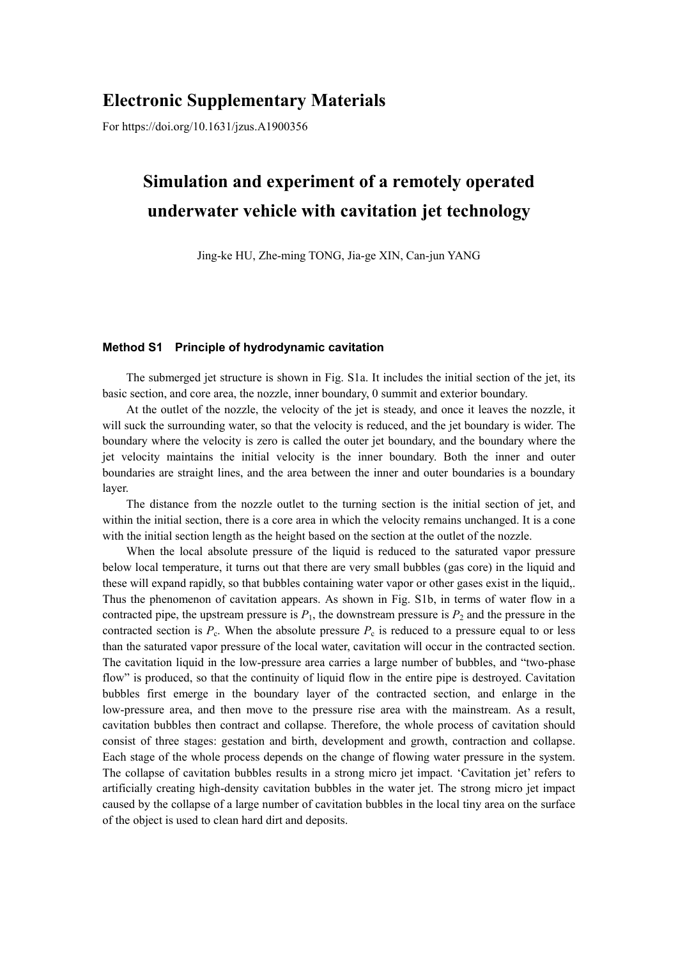## **Electronic Supplementary Materials**

For https://doi.org/10.1631/jzus.A1900356

## **Simulation and experiment of a remotely operated underwater vehicle with cavitation jet technology**

Jing-ke HU, Zhe-ming TONG, Jia-ge XIN, Can-jun YANG

## **Method S1 Principle of hydrodynamic cavitation**

The submerged jet structure is shown in Fig. S1a. It includes the initial section of the jet, its basic section, and core area, the nozzle, inner boundary, 0 summit and exterior boundary.

At the outlet of the nozzle, the velocity of the jet is steady, and once it leaves the nozzle, it will suck the surrounding water, so that the velocity is reduced, and the jet boundary is wider. The boundary where the velocity is zero is called the outer jet boundary, and the boundary where the jet velocity maintains the initial velocity is the inner boundary. Both the inner and outer boundaries are straight lines, and the area between the inner and outer boundaries is a boundary layer.

The distance from the nozzle outlet to the turning section is the initial section of jet, and within the initial section, there is a core area in which the velocity remains unchanged. It is a cone with the initial section length as the height based on the section at the outlet of the nozzle.

When the local absolute pressure of the liquid is reduced to the saturated vapor pressure below local temperature, it turns out that there are very small bubbles (gas core) in the liquid and these will expand rapidly, so that bubbles containing water vapor or other gases exist in the liquid,. Thus the phenomenon of cavitation appears. As shown in Fig. S1b, in terms of water flow in a contracted pipe, the upstream pressure is  $P_1$ , the downstream pressure is  $P_2$  and the pressure in the contracted section is  $P_c$ . When the absolute pressure  $P_c$  is reduced to a pressure equal to or less than the saturated vapor pressure of the local water, cavitation will occur in the contracted section. The cavitation liquid in the low-pressure area carries a large number of bubbles, and "two-phase flow" is produced, so that the continuity of liquid flow in the entire pipe is destroyed. Cavitation bubbles first emerge in the boundary layer of the contracted section, and enlarge in the low-pressure area, and then move to the pressure rise area with the mainstream. As a result, cavitation bubbles then contract and collapse. Therefore, the whole process of cavitation should consist of three stages: gestation and birth, development and growth, contraction and collapse. Each stage of the whole process depends on the change of flowing water pressure in the system. The collapse of cavitation bubbles results in a strong micro jet impact. 'Cavitation jet' refers to artificially creating high-density cavitation bubbles in the water jet. The strong micro jet impact caused by the collapse of a large number of cavitation bubbles in the local tiny area on the surface of the object is used to clean hard dirt and deposits.